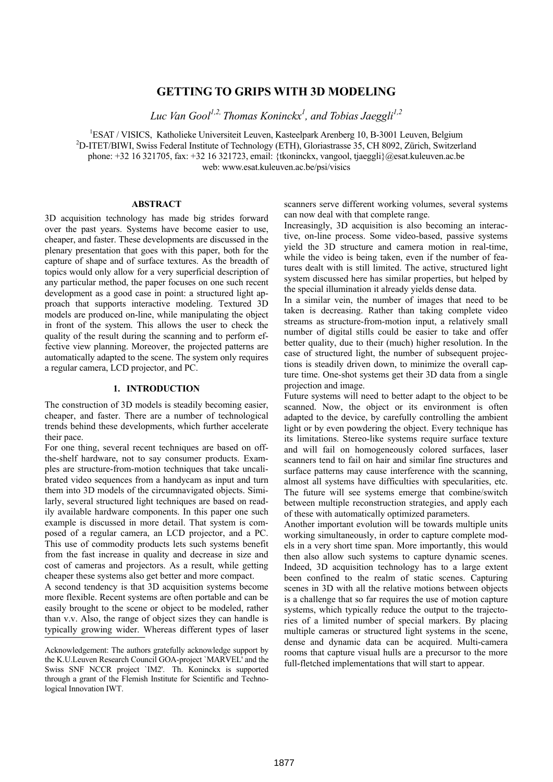# **GETTING TO GRIPS WITH 3D MODELING**

*Luc Van Gool 1,2, Thomas Koninckx1 , and Tobias Jaeggli1,2*

<sup>1</sup>ESAT / VISICS, Katholieke Universiteit Leuven, Kasteelpark Arenberg 10, B-3001 Leuven, Belgium <sup>2</sup>D ITET/DIWI Surigar Redarel Institute of Technology (ETH) Cloriogtrasse 25, CH 8002, Zürich Switzerl D-ITET/BIWI, Swiss Federal Institute of Technology (ETH), Gloriastrasse 35, CH 8092, Zürich, Switzerland phone: +32 16 321705, fax: +32 16 321723, email: {tkoninckx, vangool, tjaeggli}@esat.kuleuven.ac.be web: www.esat.kuleuven.ac.be/psi/visics

# **ABSTRACT**

3D acquisition technology has made big strides forward over the past years. Systems have become easier to use, cheaper, and faster. These developments are discussed in the plenary presentation that goes with this paper, both for the capture of shape and of surface textures. As the breadth of topics would only allow for a very superficial description of any particular method, the paper focuses on one such recent development as a good case in point: a structured light approach that supports interactive modeling. Textured 3D models are produced on-line, while manipulating the object in front of the system. This allows the user to check the quality of the result during the scanning and to perform effective view planning. Moreover, the projected patterns are automatically adapted to the scene. The system only requires a regular camera, LCD projector, and PC.

#### **1. INTRODUCTION**

The construction of 3D models is steadily becoming easier, cheaper, and faster. There are a number of technological trends behind these developments, which further accelerate their pace.

For one thing, several recent techniques are based on offthe-shelf hardware, not to say consumer products. Examples are structure-from-motion techniques that take uncalibrated video sequences from a handycam as input and turn them into 3D models of the circumnavigated objects. Similarly, several structured light techniques are based on readily available hardware components. In this paper one such example is discussed in more detail. That system is composed of a regular camera, an LCD projector, and a PC. This use of commodity products lets such systems benefit from the fast increase in quality and decrease in size and cost of cameras and projectors. As a result, while getting cheaper these systems also get better and more compact.

A second tendency is that 3D acquisition systems become more flexible. Recent systems are often portable and can be easily brought to the scene or object to be modeled, rather than v.v. Also, the range of object sizes they can handle is typically growing wider. Whereas different types of laser scanners serve different working volumes, several systems can now deal with that complete range.

Increasingly, 3D acquisition is also becoming an interactive, on-line process. Some video-based, passive systems yield the 3D structure and camera motion in real-time, while the video is being taken, even if the number of features dealt with is still limited. The active, structured light system discussed here has similar properties, but helped by the special illumination it already yields dense data.

In a similar vein, the number of images that need to be taken is decreasing. Rather than taking complete video streams as structure-from-motion input, a relatively small number of digital stills could be easier to take and offer better quality, due to their (much) higher resolution. In the case of structured light, the number of subsequent projections is steadily driven down, to minimize the overall capture time. One-shot systems get their 3D data from a single projection and image.

Future systems will need to better adapt to the object to be scanned. Now, the object or its environment is often adapted to the device, by carefully controlling the ambient light or by even powdering the object. Every technique has its limitations. Stereo-like systems require surface texture and will fail on homogeneously colored surfaces, laser scanners tend to fail on hair and similar fine structures and surface patterns may cause interference with the scanning, almost all systems have difficulties with specularities, etc. The future will see systems emerge that combine/switch between multiple reconstruction strategies, and apply each of these with automatically optimized parameters.

Another important evolution will be towards multiple units working simultaneously, in order to capture complete models in a very short time span. More importantly, this would then also allow such systems to capture dynamic scenes. Indeed, 3D acquisition technology has to a large extent been confined to the realm of static scenes. Capturing scenes in 3D with all the relative motions between objects is a challenge that so far requires the use of motion capture systems, which typically reduce the output to the trajectories of a limited number of special markers. By placing multiple cameras or structured light systems in the scene, dense and dynamic data can be acquired. Multi-camera rooms that capture visual hulls are a precursor to the more full-fletched implementations that will start to appear.

Acknowledgement: The authors gratefully acknowledge support by the K.U.Leuven Research Council GOA-project `MARVEL' and the Swiss SNF NCCR project `IM2'. Th. Koninckx is supported through a grant of the Flemish Institute for Scientific and Technological Innovation IWT.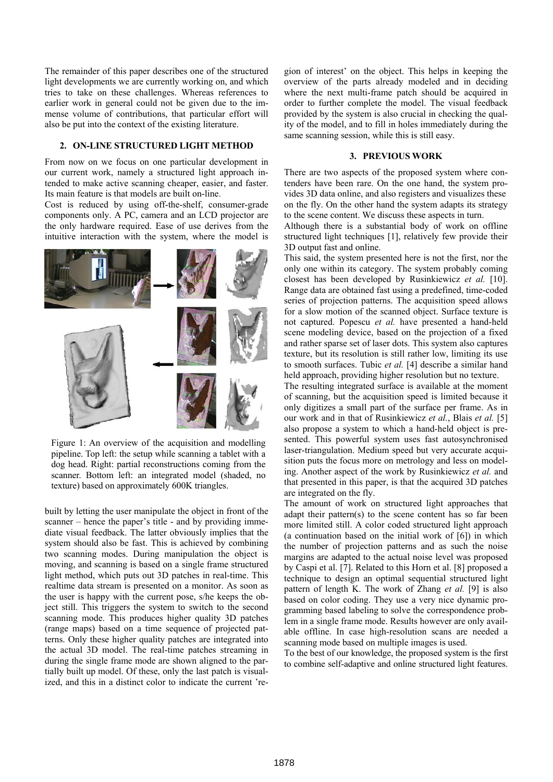The remainder of this paper describes one of the structured light developments we are currently working on, and which tries to take on these challenges. Whereas references to earlier work in general could not be given due to the immense volume of contributions, that particular effort will also be put into the context of the existing literature.

#### **2. ON-LINE STRUCTURED LIGHT METHOD**

From now on we focus on one particular development in our current work, namely a structured light approach intended to make active scanning cheaper, easier, and faster. Its main feature is that models are built on-line.

Cost is reduced by using off-the-shelf, consumer-grade components only. A PC, camera and an LCD projector are the only hardware required. Ease of use derives from the intuitive interaction with the system, where the model is



Figure 1: An overview of the acquisition and modelling pipeline. Top left: the setup while scanning a tablet with a dog head. Right: partial reconstructions coming from the scanner. Bottom left: an integrated model (shaded, no texture) based on approximately 600K triangles.

built by letting the user manipulate the object in front of the scanner – hence the paper's title - and by providing immediate visual feedback. The latter obviously implies that the system should also be fast. This is achieved by combining two scanning modes. During manipulation the object is moving, and scanning is based on a single frame structured light method, which puts out 3D patches in real-time. This realtime data stream is presented on a monitor. As soon as the user is happy with the current pose, s/he keeps the object still. This triggers the system to switch to the second scanning mode. This produces higher quality 3D patches (range maps) based on a time sequence of projected patterns. Only these higher quality patches are integrated into the actual 3D model. The real-time patches streaming in during the single frame mode are shown aligned to the partially built up model. Of these, only the last patch is visualized, and this in a distinct color to indicate the current 'region of interest' on the object. This helps in keeping the overview of the parts already modeled and in deciding where the next multi-frame patch should be acquired in order to further complete the model. The visual feedback provided by the system is also crucial in checking the quality of the model, and to fill in holes immediately during the same scanning session, while this is still easy.

#### **3. PREVIOUS WORK**

There are two aspects of the proposed system where contenders have been rare. On the one hand, the system provides 3D data online, and also registers and visualizes these on the fly. On the other hand the system adapts its strategy to the scene content. We discuss these aspects in turn.

Although there is a substantial body of work on offline structured light techniques [1], relatively few provide their 3D output fast and online.

This said, the system presented here is not the first, nor the only one within its category. The system probably coming closest has been developed by Rusinkiewicz *et al.* [10]. Range data are obtained fast using a predefined, time-coded series of projection patterns. The acquisition speed allows for a slow motion of the scanned object. Surface texture is not captured. Popescu *et al.* have presented a hand-held scene modeling device, based on the projection of a fixed and rather sparse set of laser dots. This system also captures texture, but its resolution is still rather low, limiting its use to smooth surfaces. Tubic *et al.* [4] describe a similar hand held approach, providing higher resolution but no texture.

The resulting integrated surface is available at the moment of scanning, but the acquisition speed is limited because it only digitizes a small part of the surface per frame. As in our work and in that of Rusinkiewicz *et al.*, Blais *et al.* [5] also propose a system to which a hand-held object is presented. This powerful system uses fast autosynchronised laser-triangulation. Medium speed but very accurate acquisition puts the focus more on metrology and less on modeling. Another aspect of the work by Rusinkiewicz *et al.* and that presented in this paper, is that the acquired 3D patches are integrated on the fly.

The amount of work on structured light approaches that adapt their pattern(s) to the scene content has so far been more limited still. A color coded structured light approach (a continuation based on the initial work of [6]) in which the number of projection patterns and as such the noise margins are adapted to the actual noise level was proposed by Caspi et al. [7]. Related to this Horn et al. [8] proposed a technique to design an optimal sequential structured light pattern of length K. The work of Zhang *et al.* [9] is also based on color coding. They use a very nice dynamic programming based labeling to solve the correspondence problem in a single frame mode. Results however are only available offline. In case high-resolution scans are needed a scanning mode based on multiple images is used.

To the best of our knowledge, the proposed system is the first to combine self-adaptive and online structured light features.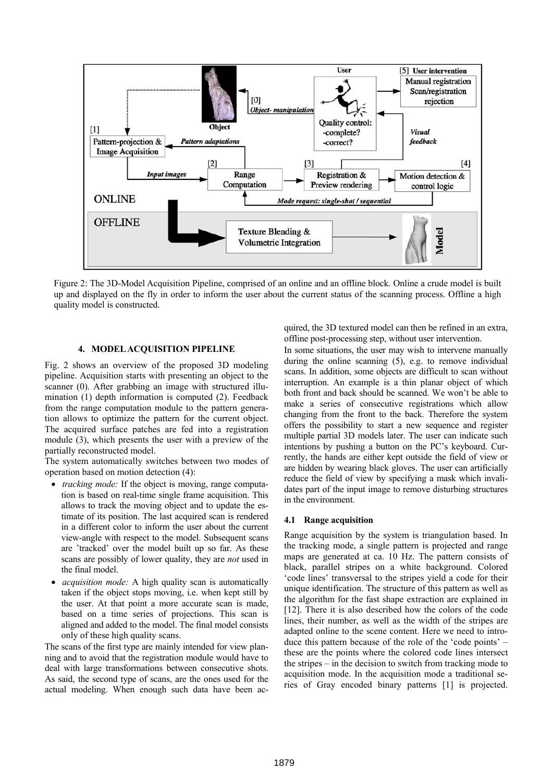

Figure 2: The 3D-Model Acquisition Pipeline, comprised of an online and an offline block. Online a crude model is built up and displayed on the fly in order to inform the user about the current status of the scanning process. Offline a high quality model is constructed.

# **4. MODEL ACQUISITION PIPELINE**

Fig. 2 shows an overview of the proposed 3D modeling pipeline. Acquisition starts with presenting an object to the scanner (0). After grabbing an image with structured illumination (1) depth information is computed (2). Feedback from the range computation module to the pattern generation allows to optimize the pattern for the current object. The acquired surface patches are fed into a registration module (3), which presents the user with a preview of the partially reconstructed model.

The system automatically switches between two modes of operation based on motion detection (4):

- *tracking mode:* If the object is moving, range computation is based on real-time single frame acquisition. This allows to track the moving object and to update the estimate of its position. The last acquired scan is rendered in a different color to inform the user about the current view-angle with respect to the model. Subsequent scans are 'tracked' over the model built up so far. As these scans are possibly of lower quality, they are *not* used in the final model.
- • *acquisition mode:* A high quality scan is automatically taken if the object stops moving, i.e. when kept still by the user. At that point a more accurate scan is made, based on a time series of projections. This scan is aligned and added to the model. The final model consists only of these high quality scans.

The scans of the first type are mainly intended for view planning and to avoid that the registration module would have to deal with large transformations between consecutive shots. As said, the second type of scans, are the ones used for the actual modeling. When enough such data have been acquired, the 3D textured model can then be refined in an extra, offline post-processing step, without user intervention.

In some situations, the user may wish to intervene manually during the online scanning (5), e.g. to remove individual scans. In addition, some objects are difficult to scan without interruption. An example is a thin planar object of which both front and back should be scanned. We won't be able to make a series of consecutive registrations which allow changing from the front to the back. Therefore the system offers the possibility to start a new sequence and register multiple partial 3D models later. The user can indicate such intentions by pushing a button on the PC's keyboard. Currently, the hands are either kept outside the field of view or are hidden by wearing black gloves. The user can artificially reduce the field of view by specifying a mask which invalidates part of the input image to remove disturbing structures in the environment.

#### **4.1 Range acquisition**

Range acquisition by the system is triangulation based. In the tracking mode, a single pattern is projected and range maps are generated at ca. 10 Hz. The pattern consists of black, parallel stripes on a white background. Colored 'code lines' transversal to the stripes yield a code for their unique identification. The structure of this pattern as well as the algorithm for the fast shape extraction are explained in [12]. There it is also described how the colors of the code lines, their number, as well as the width of the stripes are adapted online to the scene content. Here we need to introduce this pattern because of the role of the 'code points' – these are the points where the colored code lines intersect the stripes – in the decision to switch from tracking mode to acquisition mode. In the acquisition mode a traditional series of Gray encoded binary patterns [1] is projected.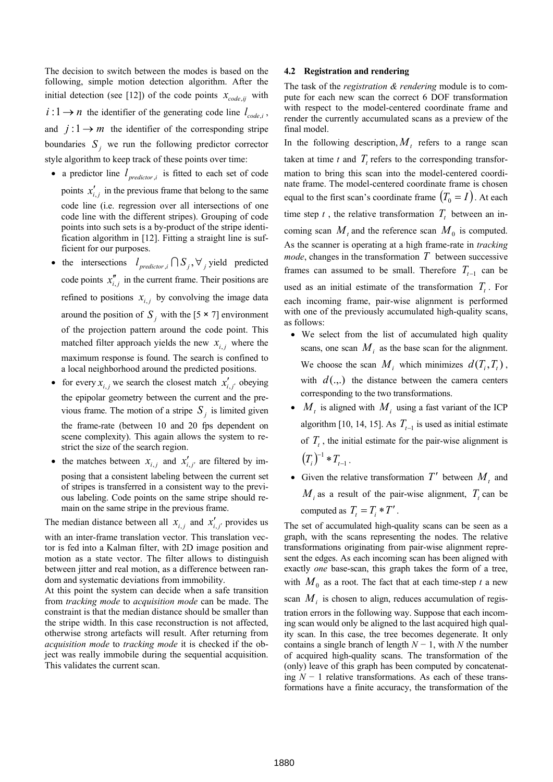The decision to switch between the modes is based on the following, simple motion detection algorithm. After the initial detection (see [12]) of the code points  $x_{code,ij}$  with  $i: 1 \rightarrow n$  the identifier of the generating code line  $l_{code,i}$ , and  $j: 1 \rightarrow m$  the identifier of the corresponding stripe boundaries  $S_j$  we run the following predictor corrector style algorithm to keep track of these points over time:

- a predictor line  $l_{predictor, i}$  is fitted to each set of code points  $x'_{i,j}$  in the previous frame that belong to the same code line (i.e. regression over all intersections of one code line with the different stripes). Grouping of code points into such sets is a by-product of the stripe identification algorithm in [12]. Fitting a straight line is sufficient for our purposes.
- the intersections  $l_{\text{predictor},i} \cap S_j, \forall j$  yield predicted code points  $x_{i,j}^{\prime\prime}$  in the current frame. Their positions are refined to positions  $x_{i,j}$  by convolving the image data around the position of  $S_j$  with the [5  $\times$  7] environment of the projection pattern around the code point. This matched filter approach yields the new  $x_{i,j}$  where the maximum response is found. The search is confined to a local neighborhood around the predicted positions.
- for every  $x_{i,j}$  we search the closest match  $x'_{i,j'}$  obeying the epipolar geometry between the current and the previous frame. The motion of a stripe  $S_j$  is limited given the frame-rate (between 10 and 20 fps dependent on scene complexity). This again allows the system to restrict the size of the search region.
- the matches between  $x_{i,j}$  and  $x'_{i,j'}$  are filtered by imposing that a consistent labeling between the current set of stripes is transferred in a consistent way to the previous labeling. Code points on the same stripe should remain on the same stripe in the previous frame.

The median distance between all  $x_{i,j}$  and  $x'_{i,j'}$  provides us

with an inter-frame translation vector. This translation vector is fed into a Kalman filter, with 2D image position and motion as a state vector. The filter allows to distinguish between jitter and real motion, as a difference between random and systematic deviations from immobility.

At this point the system can decide when a safe transition from *tracking mode* to *acquisition mode* can be made. The constraint is that the median distance should be smaller than the stripe width. In this case reconstruction is not affected, otherwise strong artefacts will result. After returning from *acquisition mode* to *tracking mode* it is checked if the object was really immobile during the sequential acquisition. This validates the current scan.

#### **4.2 Registration and rendering**

The task of the *registration & rendering* module is to compute for each new scan the correct 6 DOF transformation with respect to the model-centered coordinate frame and render the currently accumulated scans as a preview of the final model.

In the following description,  $M_t$  refers to a range scan taken at time *t* and  $T_t$  refers to the corresponding transformation to bring this scan into the model-centered coordinate frame. The model-centered coordinate frame is chosen equal to the first scan's coordinate frame  $(T_0 = I)$ . At each time step  $t$ , the relative transformation  $T<sub>t</sub>$  between an incoming scan  $M_t$  and the reference scan  $M_0$  is computed. As the scanner is operating at a high frame-rate in *tracking mode*, changes in the transformation *T* between successive frames can assumed to be small. Therefore  $T_{t-1}$  can be used as an initial estimate of the transformation  $T<sub>t</sub>$ . For each incoming frame, pair-wise alignment is performed with one of the previously accumulated high-quality scans, as follows:

- We select from the list of accumulated high quality scans, one scan  $M_i$  as the base scan for the alignment. We choose the scan  $M_i$  which minimizes  $d(T_i, T_i)$ , with  $d(.,.)$  the distance between the camera centers corresponding to the two transformations.
- $M_t$  is aligned with  $M_i$  using a fast variant of the ICP algorithm [10, 14, 15]. As  $T_{t-1}$  is used as initial estimate of  $T<sub>t</sub>$ , the initial estimate for the pair-wise alignment is  $(T_i)^{-1} * T_{t-1}$  $(T_i)^{-1} * T_{t-1}$ .
- Given the relative transformation  $T'$  between  $M_t$  and  $M_i$  as a result of the pair-wise alignment,  $T_t$  can be computed as  $T_t = T_i * T'$ .

The set of accumulated high-quality scans can be seen as a graph, with the scans representing the nodes. The relative transformations originating from pair-wise alignment represent the edges. As each incoming scan has been aligned with exactly *one* base-scan, this graph takes the form of a tree, with  $M_0$  as a root. The fact that at each time-step  $t$  a new

scan  $M_i$  is chosen to align, reduces accumulation of registration errors in the following way. Suppose that each incoming scan would only be aligned to the last acquired high quality scan. In this case, the tree becomes degenerate. It only contains a single branch of length  $N-1$ , with  $N$  the number of acquired high-quality scans. The transformation of the (only) leave of this graph has been computed by concatenating *N* − 1 relative transformations. As each of these transformations have a finite accuracy, the transformation of the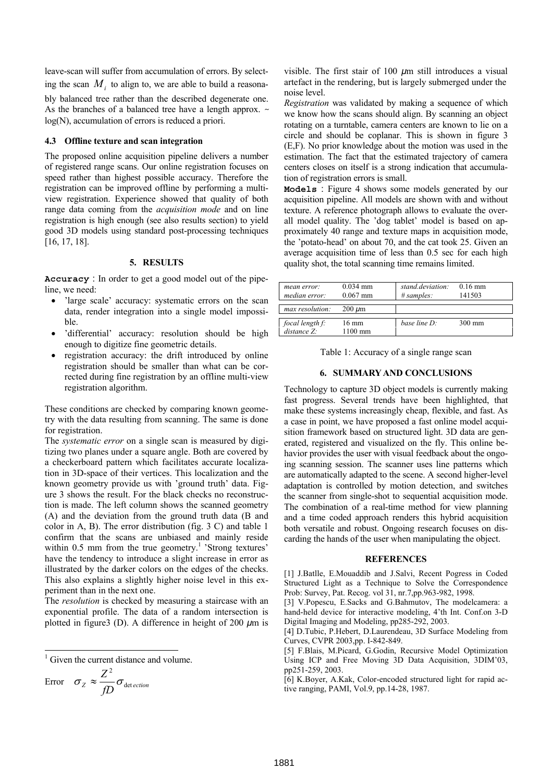leave-scan will suffer from accumulation of errors. By selecting the scan  $M_i$  to align to, we are able to build a reasonably balanced tree rather than the described degenerate one. As the branches of a balanced tree have a length approx. *~* log(N), accumulation of errors is reduced a priori.

# **4.3 Offline texture and scan integration**

The proposed online acquisition pipeline delivers a number of registered range scans. Our online registration focuses on speed rather than highest possible accuracy. Therefore the registration can be improved offline by performing a multiview registration. Experience showed that quality of both range data coming from the *acquisition mode* and on line registration is high enough (see also results section) to yield good 3D models using standard post-processing techniques [16, 17, 18].

# **5. RESULTS**

**Accuracy** : In order to get a good model out of the pipeline, we need:

- 'large scale' accuracy: systematic errors on the scan data, render integration into a single model impossible.
- 'differential' accuracy: resolution should be high enough to digitize fine geometric details.
- registration accuracy: the drift introduced by online registration should be smaller than what can be corrected during fine registration by an offline multi-view registration algorithm.

These conditions are checked by comparing known geometry with the data resulting from scanning. The same is done for registration.

The *systematic error* on a single scan is measured by digitizing two planes under a square angle. Both are covered by a checkerboard pattern which facilitates accurate localization in 3D-space of their vertices. This localization and the known geometry provide us with 'ground truth' data. Figure 3 shows the result. For the black checks no reconstruction is made. The left column shows the scanned geometry (A) and the deviation from the ground truth data (B and color in A, B). The error distribution (fig. 3 C) and table 1 confirm that the scans are unbiased and mainly reside within  $0.5$  mm from the true geometry.<sup>1</sup> 'Strong textures' have the tendency to introduce a slight increase in error as illustrated by the darker colors on the edges of the checks. This also explains a slightly higher noise level in this experiment than in the next one.

The *resolution* is checked by measuring a staircase with an exponential profile. The data of a random intersection is plotted in figure3 (D). A difference in height of 200 *µ*m is

|<br>|<br>|  $\frac{1}{1}$  Given the current distance and volume.

Error 
$$
\sigma_Z \approx \frac{Z^2}{fD} \sigma_{\text{detection}}
$$

visible. The first stair of 100 *µ*m still introduces a visual artefact in the rendering, but is largely submerged under the noise level.

*Registration* was validated by making a sequence of which we know how the scans should align. By scanning an object rotating on a turntable, camera centers are known to lie on a circle and should be coplanar. This is shown in figure 3 (E,F). No prior knowledge about the motion was used in the estimation. The fact that the estimated trajectory of camera centers closes on itself is a strong indication that accumulation of registration errors is small.

**Models** : Figure 4 shows some models generated by our acquisition pipeline. All models are shown with and without texture. A reference photograph allows to evaluate the overall model quality. The 'dog tablet' model is based on approximately 40 range and texture maps in acquisition mode, the 'potato-head' on about 70, and the cat took 25. Given an average acquisition time of less than 0.5 sec for each high quality shot, the total scanning time remains limited.

| mean error:<br>median error:   | $0.034$ mm<br>$0.067$ mm     | stand.deviation:<br>$\# samples$ : | $0.16 \text{ mm}$<br>141503 |
|--------------------------------|------------------------------|------------------------------------|-----------------------------|
| max resolution:                | $200 \ \mu m$                |                                    |                             |
| focal length f:<br>distance Z: | $16 \text{ mm}$<br>$1100$ mm | base line $D$ :                    | $300 \text{ mm}$            |

Table 1: Accuracy of a single range scan

#### **6. SUMMARY AND CONCLUSIONS**

Technology to capture 3D object models is currently making fast progress. Several trends have been highlighted, that make these systems increasingly cheap, flexible, and fast. As a case in point, we have proposed a fast online model acquisition framework based on structured light. 3D data are generated, registered and visualized on the fly. This online behavior provides the user with visual feedback about the ongoing scanning session. The scanner uses line patterns which are automatically adapted to the scene. A second higher-level adaptation is controlled by motion detection, and switches the scanner from single-shot to sequential acquisition mode. The combination of a real-time method for view planning and a time coded approach renders this hybrid acquisition both versatile and robust. Ongoing research focuses on discarding the hands of the user when manipulating the object.

#### **REFERENCES**

[1] J.Batlle, E.Mouaddib and J.Salvi, Recent Pogress in Coded Structured Light as a Technique to Solve the Correspondence Prob: Survey, Pat. Recog. vol 31, nr.7,pp.963-982, 1998.

[3] V.Popescu, E.Sacks and G.Bahmutov, The modelcamera: a hand-held device for interactive modeling, 4'th Int. Conf.on 3-D Digital Imaging and Modeling, pp285-292, 2003.

[4] D.Tubic, P.Hebert, D.Laurendeau, 3D Surface Modeling from Curves, CVPR 2003,pp. I-842-849.

[5] F.Blais, M.Picard, G.Godin, Recursive Model Optimization Using ICP and Free Moving 3D Data Acquisition, 3DIM'03, pp251-259, 2003.

[6] K.Boyer, A.Kak, Color-encoded structured light for rapid active ranging, PAMI, Vol.9, pp.14-28, 1987.